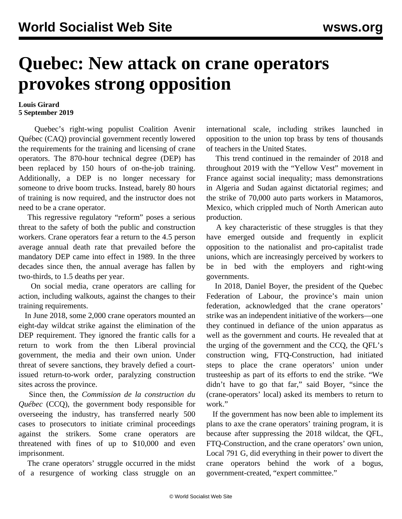## **Quebec: New attack on crane operators provokes strong opposition**

## **Louis Girard 5 September 2019**

 Quebec's right-wing populist Coalition Avenir Québec (CAQ) provincial government recently lowered the requirements for the training and licensing of crane operators. The 870-hour technical degree (DEP) has been replaced by 150 hours of on-the-job training. Additionally, a DEP is no longer necessary for someone to drive boom trucks. Instead, barely 80 hours of training is now required, and the instructor does not need to be a crane operator.

 This regressive regulatory "reform" poses a serious threat to the safety of both the public and construction workers. Crane operators fear a return to the 4.5 person average annual death rate that prevailed before the mandatory DEP came into effect in 1989. In the three decades since then, the annual average has fallen by two-thirds, to 1.5 deaths per year.

 On social media, crane operators are calling for action, including walkouts, against the changes to their training requirements.

 In June 2018, some 2,000 crane operators mounted an eight-day wildcat strike against the elimination of the DEP requirement. They ignored the frantic calls for a return to work from the then Liberal provincial government, the media and their own union. Under threat of severe sanctions, they bravely defied a courtissued return-to-work order, paralyzing construction sites across the province.

 Since then, the *Commission de la construction du Québec* (CCQ), the government body responsible for overseeing the industry, has transferred nearly 500 cases to prosecutors to initiate criminal proceedings against the strikers. Some crane operators are threatened with fines of up to \$10,000 and even imprisonment.

 The crane operators' struggle occurred in the midst of a resurgence of working class struggle on an international scale, including strikes launched in opposition to the union top brass by tens of thousands of teachers in the United States.

 This trend continued in the remainder of 2018 and throughout 2019 with the "Yellow Vest" movement in France against social inequality; mass demonstrations in Algeria and Sudan against dictatorial regimes; and the strike of 70,000 auto parts workers in Matamoros, Mexico, which crippled much of North American auto production.

 A key characteristic of these struggles is that they have emerged outside and frequently in explicit opposition to the nationalist and pro-capitalist trade unions, which are increasingly perceived by workers to be in bed with the employers and right-wing governments.

 In 2018, Daniel Boyer, the president of the Quebec Federation of Labour, the province's main union federation, acknowledged that the crane operators' strike was an independent initiative of the workers—one they continued in defiance of the union apparatus as well as the government and courts. He revealed that at the urging of the government and the CCQ, the QFL's construction wing, FTQ-Construction, had initiated steps to place the crane operators' union under trusteeship as part of its efforts to end the strike. "We didn't have to go that far," said Boyer, "since the (crane-operators' local) asked its members to return to work."

 If the government has now been able to implement its plans to axe the crane operators' training program, it is because after suppressing the 2018 wildcat, the QFL, FTQ-Construction, and the crane operators' own union, Local 791 G, did everything in their power to divert the crane operators behind the work of a bogus, government-created, "expert committee."